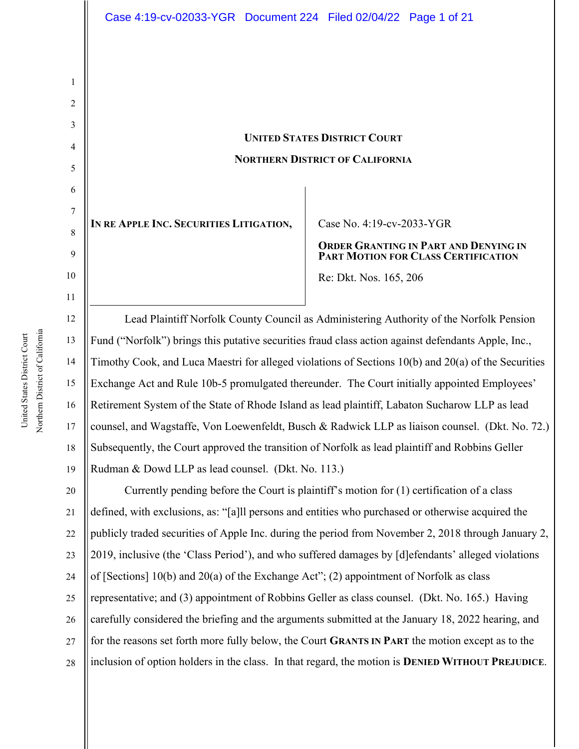# **UNITED STATES DISTRICT COURT NORTHERN DISTRICT OF CALIFORNIA**

IN RE APPLE INC. SECURITIES LITIGATION, Case No. 4:19-cv-2033-YGR

**ORDER GRANTING IN PART AND DENYING IN PART MOTION FOR CLASS CERTIFICATION**

Re: Dkt. Nos. 165, 206

12 13 14 15 16 17 18 19 Lead Plaintiff Norfolk County Council as Administering Authority of the Norfolk Pension Fund ("Norfolk") brings this putative securities fraud class action against defendants Apple, Inc., Timothy Cook, and Luca Maestri for alleged violations of Sections 10(b) and 20(a) of the Securities Exchange Act and Rule 10b-5 promulgated thereunder. The Court initially appointed Employees' Retirement System of the State of Rhode Island as lead plaintiff, Labaton Sucharow LLP as lead counsel, and Wagstaffe, Von Loewenfeldt, Busch & Radwick LLP as liaison counsel. (Dkt. No. 72.) Subsequently, the Court approved the transition of Norfolk as lead plaintiff and Robbins Geller Rudman & Dowd LLP as lead counsel. (Dkt. No. 113.)

20 21 22 23 24 25 26 27 28 Currently pending before the Court is plaintiff's motion for (1) certification of a class defined, with exclusions, as: "[a]ll persons and entities who purchased or otherwise acquired the publicly traded securities of Apple Inc. during the period from November 2, 2018 through January 2, 2019, inclusive (the 'Class Period'), and who suffered damages by [d]efendants' alleged violations of [Sections]  $10(b)$  and  $20(a)$  of the Exchange Act"; (2) appointment of Norfolk as class representative; and (3) appointment of Robbins Geller as class counsel. (Dkt. No. 165.) Having carefully considered the briefing and the arguments submitted at the January 18, 2022 hearing, and for the reasons set forth more fully below, the Court **GRANTS IN PART** the motion except as to the inclusion of option holders in the class. In that regard, the motion is **DENIED WITHOUT PREJUDICE**.

1

2

3

4

5

6

7

8

9

10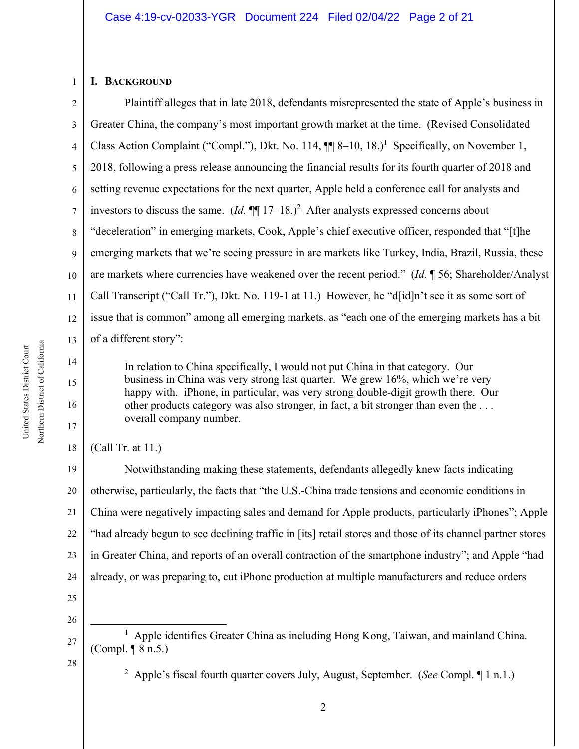#### **I. BACKGROUND**

1

2 3 4 5 6 7 8 9 10 11 12 13 Plaintiff alleges that in late 2018, defendants misrepresented the state of Apple's business in Greater China, the company's most important growth market at the time. (Revised Consolidated Class Action Complaint ("Compl."), Dkt. No. 114,  $\P\P$  8–10, 18.)<sup>1</sup> Specifically, on November 1, 2018, following a press release announcing the financial results for its fourth quarter of 2018 and setting revenue expectations for the next quarter, Apple held a conference call for analysts and investors to discuss the same.  $(Id. \P\P 17-18.)^2$  After analysts expressed concerns about "deceleration" in emerging markets, Cook, Apple's chief executive officer, responded that "[t]he emerging markets that we're seeing pressure in are markets like Turkey, India, Brazil, Russia, these are markets where currencies have weakened over the recent period." (*Id.* ¶ 56; Shareholder/Analyst Call Transcript ("Call Tr."), Dkt. No. 119-1 at 11.) However, he "d[id]n't see it as some sort of issue that is common" among all emerging markets, as "each one of the emerging markets has a bit of a different story":

In relation to China specifically, I would not put China in that category. Our business in China was very strong last quarter. We grew 16%, which we're very happy with. iPhone, in particular, was very strong double-digit growth there. Our other products category was also stronger, in fact, a bit stronger than even the . . . overall company number.

(Call Tr. at 11.)

19 20 21 22 23 24 Notwithstanding making these statements, defendants allegedly knew facts indicating otherwise, particularly, the facts that "the U.S.-China trade tensions and economic conditions in China were negatively impacting sales and demand for Apple products, particularly iPhones"; Apple "had already begun to see declining traffic in [its] retail stores and those of its channel partner stores in Greater China, and reports of an overall contraction of the smartphone industry"; and Apple "had already, or was preparing to, cut iPhone production at multiple manufacturers and reduce orders

25 26

27

28

2 Apple's fiscal fourth quarter covers July, August, September. (*See* Compl. ¶ 1 n.1.)

14

15

16

17

<sup>&</sup>lt;sup>1</sup> Apple identifies Greater China as including Hong Kong, Taiwan, and mainland China. (Compl. ¶ 8 n.5.)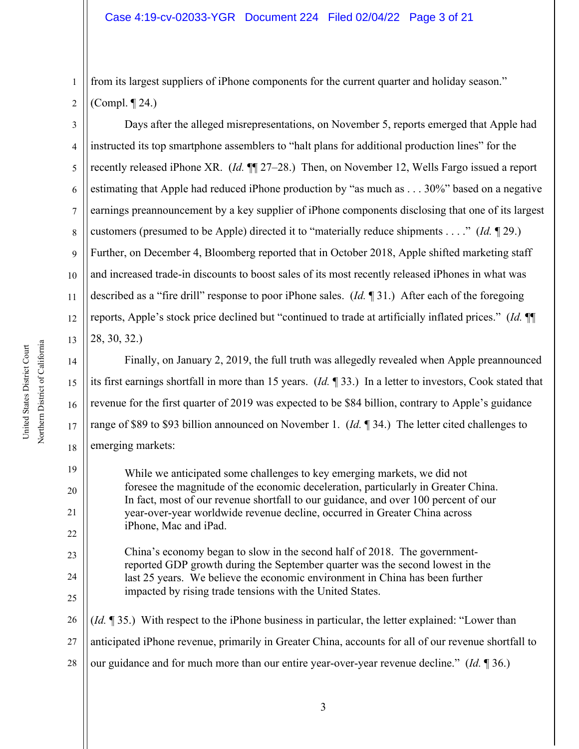from its largest suppliers of iPhone components for the current quarter and holiday season." (Compl. ¶ 24.)

3 4 5 6 7 8 9 10 11 12 13 Days after the alleged misrepresentations, on November 5, reports emerged that Apple had instructed its top smartphone assemblers to "halt plans for additional production lines" for the recently released iPhone XR. (*Id.* ¶¶ 27–28.) Then, on November 12, Wells Fargo issued a report estimating that Apple had reduced iPhone production by "as much as . . . 30%" based on a negative earnings preannouncement by a key supplier of iPhone components disclosing that one of its largest customers (presumed to be Apple) directed it to "materially reduce shipments . . . ." (*Id.* ¶ 29.) Further, on December 4, Bloomberg reported that in October 2018, Apple shifted marketing staff and increased trade-in discounts to boost sales of its most recently released iPhones in what was described as a "fire drill" response to poor iPhone sales. (*Id.* ¶ 31.) After each of the foregoing reports, Apple's stock price declined but "continued to trade at artificially inflated prices." (*Id.* ¶¶ 28, 30, 32.)

14 Finally, on January 2, 2019, the full truth was allegedly revealed when Apple preannounced its first earnings shortfall in more than 15 years. (*Id.* ¶ 33.) In a letter to investors, Cook stated that revenue for the first quarter of 2019 was expected to be \$84 billion, contrary to Apple's guidance range of \$89 to \$93 billion announced on November 1. (*Id.* ¶ 34.) The letter cited challenges to emerging markets:

While we anticipated some challenges to key emerging markets, we did not foresee the magnitude of the economic deceleration, particularly in Greater China. In fact, most of our revenue shortfall to our guidance, and over 100 percent of our year-over-year worldwide revenue decline, occurred in Greater China across iPhone, Mac and iPad.

China's economy began to slow in the second half of 2018. The governmentreported GDP growth during the September quarter was the second lowest in the last 25 years. We believe the economic environment in China has been further impacted by rising trade tensions with the United States.

26 27 28 (*Id.* ¶ 35.) With respect to the iPhone business in particular, the letter explained: "Lower than anticipated iPhone revenue, primarily in Greater China, accounts for all of our revenue shortfall to our guidance and for much more than our entire year-over-year revenue decline." (*Id.* ¶ 36.)

15

16

17

18

19

20

21

22

23

24

25

1

2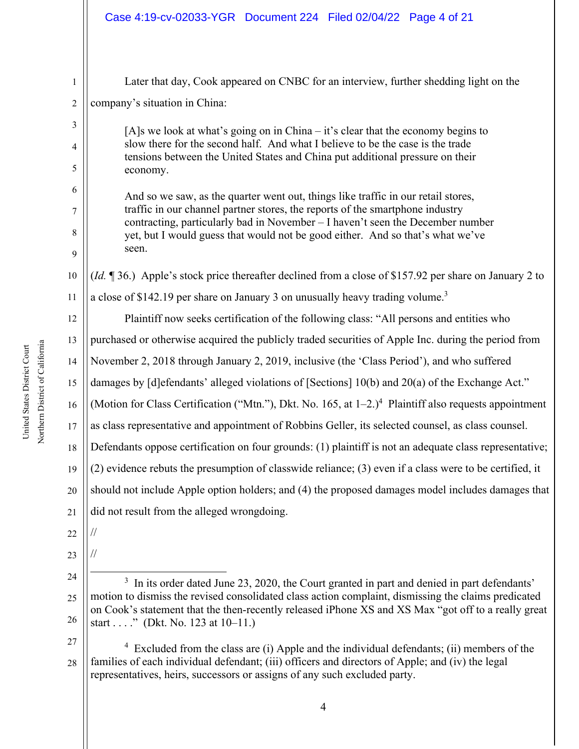|                                | Case 4:19-cv-02033-YGR  Document 224  Filed 02/04/22  Page 4 of 21                                                                                                                                                                                                                                                                              |
|--------------------------------|-------------------------------------------------------------------------------------------------------------------------------------------------------------------------------------------------------------------------------------------------------------------------------------------------------------------------------------------------|
| $\mathbf{1}$<br>$\overline{c}$ | Later that day, Cook appeared on CNBC for an interview, further shedding light on the<br>company's situation in China:                                                                                                                                                                                                                          |
| 3<br>4<br>5<br>6               | $[A]$ s we look at what's going on in China – it's clear that the economy begins to<br>slow there for the second half. And what I believe to be the case is the trade<br>tensions between the United States and China put additional pressure on their<br>economy.                                                                              |
| 7<br>8<br>9                    | And so we saw, as the quarter went out, things like traffic in our retail stores,<br>traffic in our channel partner stores, the reports of the smartphone industry<br>contracting, particularly bad in November - I haven't seen the December number<br>yet, but I would guess that would not be good either. And so that's what we've<br>seen. |
| 10                             | (Id. ¶ 36.) Apple's stock price thereafter declined from a close of \$157.92 per share on January 2 to                                                                                                                                                                                                                                          |
| 11                             | a close of \$142.19 per share on January 3 on unusually heavy trading volume. <sup>3</sup>                                                                                                                                                                                                                                                      |
| 12                             | Plaintiff now seeks certification of the following class: "All persons and entities who                                                                                                                                                                                                                                                         |
| 13                             | purchased or otherwise acquired the publicly traded securities of Apple Inc. during the period from                                                                                                                                                                                                                                             |
| 14                             | November 2, 2018 through January 2, 2019, inclusive (the 'Class Period'), and who suffered                                                                                                                                                                                                                                                      |
| 15                             | damages by [d] efendants' alleged violations of [Sections] 10(b) and 20(a) of the Exchange Act."                                                                                                                                                                                                                                                |
| 16                             | (Motion for Class Certification ("Mtn."), Dkt. No. 165, at $1-2.$ ) <sup>4</sup> Plaintiff also requests appointment                                                                                                                                                                                                                            |
| 17                             | as class representative and appointment of Robbins Geller, its selected counsel, as class counsel.                                                                                                                                                                                                                                              |
| 18                             | Defendants oppose certification on four grounds: (1) plaintiff is not an adequate class representative;                                                                                                                                                                                                                                         |
| 19                             | $(2)$ evidence rebuts the presumption of classwide reliance; $(3)$ even if a class were to be certified, it                                                                                                                                                                                                                                     |
| 20                             | should not include Apple option holders; and (4) the proposed damages model includes damages that                                                                                                                                                                                                                                               |
| 21                             | did not result from the alleged wrongdoing.                                                                                                                                                                                                                                                                                                     |
| 22                             |                                                                                                                                                                                                                                                                                                                                                 |
| 23                             |                                                                                                                                                                                                                                                                                                                                                 |
| 24                             | <sup>3</sup> In its order dated June 23, 2020, the Court granted in part and denied in part defendants'                                                                                                                                                                                                                                         |
| 25<br>26                       | motion to dismiss the revised consolidated class action complaint, dismissing the claims predicated<br>on Cook's statement that the then-recently released iPhone XS and XS Max "got off to a really great<br>start " (Dkt. No. 123 at $10-11$ .)                                                                                               |
| 27<br>28                       | Excluded from the class are (i) Apple and the individual defendants; (ii) members of the<br>families of each individual defendant; (iii) officers and directors of Apple; and (iv) the legal<br>representatives, heirs, successors or assigns of any such excluded party.                                                                       |
|                                |                                                                                                                                                                                                                                                                                                                                                 |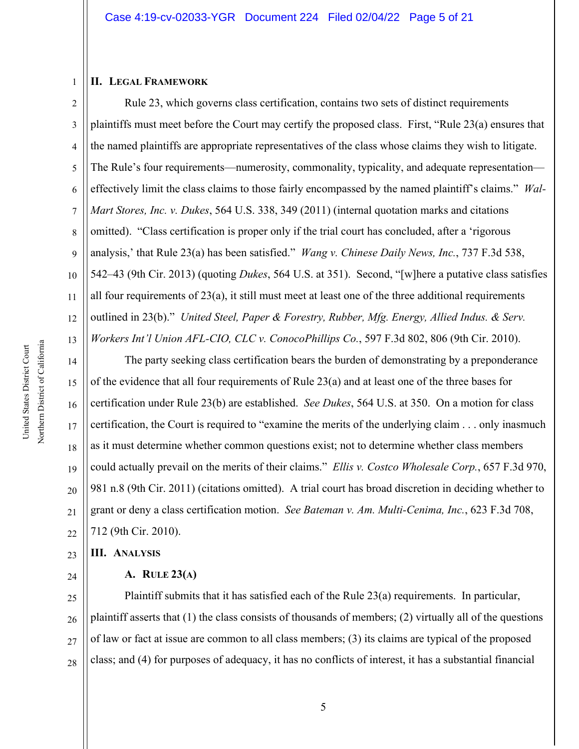#### **II. LEGAL FRAMEWORK**

1

2 3 4 5 6 7 8 9 10 11 12 13 Rule 23, which governs class certification, contains two sets of distinct requirements plaintiffs must meet before the Court may certify the proposed class. First, "Rule 23(a) ensures that the named plaintiffs are appropriate representatives of the class whose claims they wish to litigate. The Rule's four requirements—numerosity, commonality, typicality, and adequate representation effectively limit the class claims to those fairly encompassed by the named plaintiff's claims." *Wal-Mart Stores, Inc. v. Dukes*, 564 U.S. 338, 349 (2011) (internal quotation marks and citations omitted). "Class certification is proper only if the trial court has concluded, after a 'rigorous analysis,' that Rule 23(a) has been satisfied." *Wang v. Chinese Daily News, Inc.*, 737 F.3d 538, 542–43 (9th Cir. 2013) (quoting *Dukes*, 564 U.S. at 351). Second, "[w]here a putative class satisfies all four requirements of 23(a), it still must meet at least one of the three additional requirements outlined in 23(b)." *United Steel, Paper & Forestry, Rubber, Mfg. Energy, Allied Indus. & Serv. Workers Int'l Union AFL-CIO, CLC v. ConocoPhillips Co.*, 597 F.3d 802, 806 (9th Cir. 2010).

14 15 16 17 18 19 20 21 22 The party seeking class certification bears the burden of demonstrating by a preponderance of the evidence that all four requirements of Rule 23(a) and at least one of the three bases for certification under Rule 23(b) are established. *See Dukes*, 564 U.S. at 350. On a motion for class certification, the Court is required to "examine the merits of the underlying claim . . . only inasmuch as it must determine whether common questions exist; not to determine whether class members could actually prevail on the merits of their claims." *Ellis v. Costco Wholesale Corp.*, 657 F.3d 970, 981 n.8 (9th Cir. 2011) (citations omitted). A trial court has broad discretion in deciding whether to grant or deny a class certification motion. *See Bateman v. Am. Multi-Cenima, Inc.*, 623 F.3d 708, 712 (9th Cir. 2010).

23 **III. ANALYSIS**

24

#### **A. RULE 23(A)**

25 26 27 28 Plaintiff submits that it has satisfied each of the Rule 23(a) requirements. In particular, plaintiff asserts that (1) the class consists of thousands of members; (2) virtually all of the questions of law or fact at issue are common to all class members; (3) its claims are typical of the proposed class; and (4) for purposes of adequacy, it has no conflicts of interest, it has a substantial financial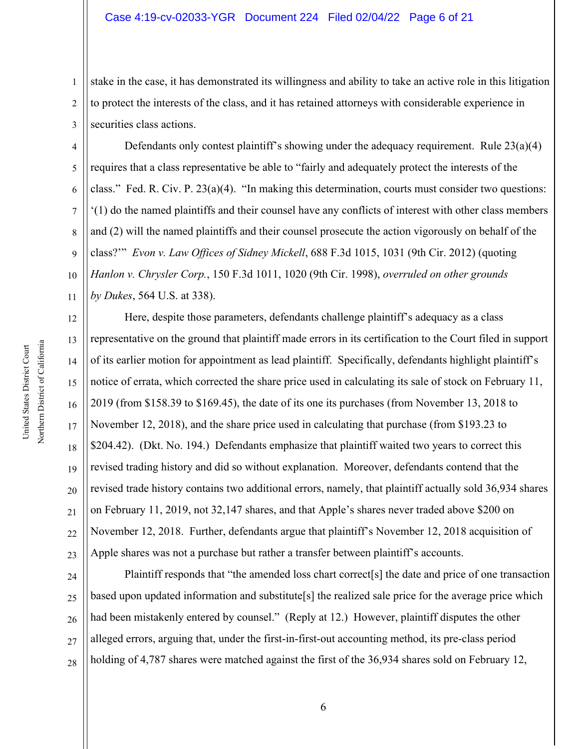#### Case 4:19-cv-02033-YGR Document 224 Filed 02/04/22 Page 6 of 21

1 2 3 stake in the case, it has demonstrated its willingness and ability to take an active role in this litigation to protect the interests of the class, and it has retained attorneys with considerable experience in securities class actions.

4 5 6 7 8 9 10 11 Defendants only contest plaintiff's showing under the adequacy requirement. Rule 23(a)(4) requires that a class representative be able to "fairly and adequately protect the interests of the class." Fed. R. Civ. P. 23(a)(4). "In making this determination, courts must consider two questions: '(1) do the named plaintiffs and their counsel have any conflicts of interest with other class members and (2) will the named plaintiffs and their counsel prosecute the action vigorously on behalf of the class?'" *Evon v. Law Offices of Sidney Mickell*, 688 F.3d 1015, 1031 (9th Cir. 2012) (quoting *Hanlon v. Chrysler Corp.*, 150 F.3d 1011, 1020 (9th Cir. 1998), *overruled on other grounds by Dukes*, 564 U.S. at 338).

12 13 14 15 16 17 18 19 20 21 22 23 Here, despite those parameters, defendants challenge plaintiff's adequacy as a class representative on the ground that plaintiff made errors in its certification to the Court filed in support of its earlier motion for appointment as lead plaintiff. Specifically, defendants highlight plaintiff's notice of errata, which corrected the share price used in calculating its sale of stock on February 11, 2019 (from \$158.39 to \$169.45), the date of its one its purchases (from November 13, 2018 to November 12, 2018), and the share price used in calculating that purchase (from \$193.23 to \$204.42). (Dkt. No. 194.) Defendants emphasize that plaintiff waited two years to correct this revised trading history and did so without explanation. Moreover, defendants contend that the revised trade history contains two additional errors, namely, that plaintiff actually sold 36,934 shares on February 11, 2019, not 32,147 shares, and that Apple's shares never traded above \$200 on November 12, 2018. Further, defendants argue that plaintiff's November 12, 2018 acquisition of Apple shares was not a purchase but rather a transfer between plaintiff's accounts.

24 25 26 27 28 Plaintiff responds that "the amended loss chart correct[s] the date and price of one transaction based upon updated information and substitute[s] the realized sale price for the average price which had been mistakenly entered by counsel." (Reply at 12.) However, plaintiff disputes the other alleged errors, arguing that, under the first-in-first-out accounting method, its pre-class period holding of 4,787 shares were matched against the first of the 36,934 shares sold on February 12,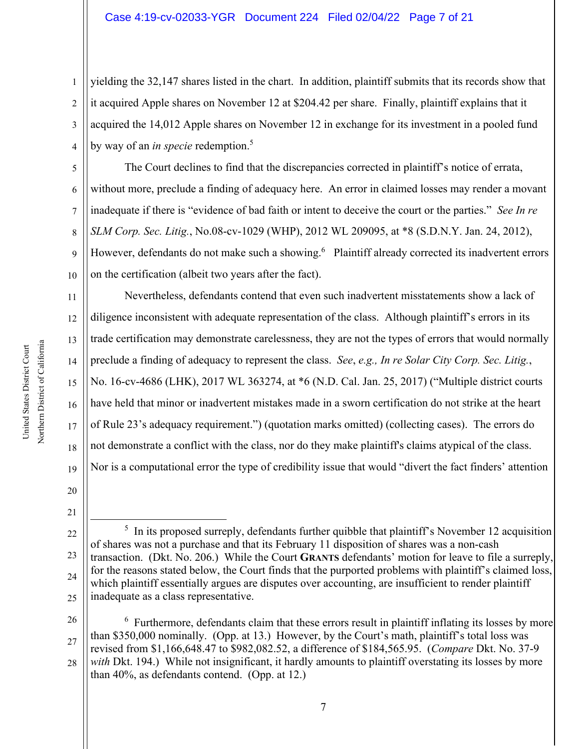1 2 3 4 yielding the 32,147 shares listed in the chart. In addition, plaintiff submits that its records show that it acquired Apple shares on November 12 at \$204.42 per share. Finally, plaintiff explains that it acquired the 14,012 Apple shares on November 12 in exchange for its investment in a pooled fund by way of an *in specie* redemption.5

5 6 7 8 9 10 The Court declines to find that the discrepancies corrected in plaintiff's notice of errata, without more, preclude a finding of adequacy here. An error in claimed losses may render a movant inadequate if there is "evidence of bad faith or intent to deceive the court or the parties." *See In re SLM Corp. Sec. Litig.*, No.08-cv-1029 (WHP), 2012 WL 209095, at \*8 (S.D.N.Y. Jan. 24, 2012), However, defendants do not make such a showing.<sup>6</sup> Plaintiff already corrected its inadvertent errors on the certification (albeit two years after the fact).

11 12 13 14 15 16 17 18 19 Nevertheless, defendants contend that even such inadvertent misstatements show a lack of diligence inconsistent with adequate representation of the class. Although plaintiff's errors in its trade certification may demonstrate carelessness, they are not the types of errors that would normally preclude a finding of adequacy to represent the class. *See*, *e.g., In re Solar City Corp. Sec. Litig.*, No. 16-cv-4686 (LHK), 2017 WL 363274, at \*6 (N.D. Cal. Jan. 25, 2017) ("Multiple district courts have held that minor or inadvertent mistakes made in a sworn certification do not strike at the heart of Rule 23's adequacy requirement.") (quotation marks omitted) (collecting cases). The errors do not demonstrate a conflict with the class, nor do they make plaintiff's claims atypical of the class. Nor is a computational error the type of credibility issue that would "divert the fact finders' attention

20 21

28 with Dkt. 194.) While not insignificant, it hardly amounts to plaintiff overstating its losses by more than 40%, as defendants contend. (Opp. at 12.)

<sup>22</sup> 23 24 25 <sup>5</sup> In its proposed surreply, defendants further quibble that plaintiff's November 12 acquisition of shares was not a purchase and that its February 11 disposition of shares was a non-cash transaction. (Dkt. No. 206.) While the Court **GRANTS** defendants' motion for leave to file a surreply, for the reasons stated below, the Court finds that the purported problems with plaintiff's claimed loss, which plaintiff essentially argues are disputes over accounting, are insufficient to render plaintiff inadequate as a class representative.

<sup>26</sup> 27  $6$  Furthermore, defendants claim that these errors result in plaintiff inflating its losses by more than \$350,000 nominally. (Opp. at 13.) However, by the Court's math, plaintiff's total loss was revised from \$1,166,648.47 to \$982,082.52, a difference of \$184,565.95. (*Compare* Dkt. No. 37-9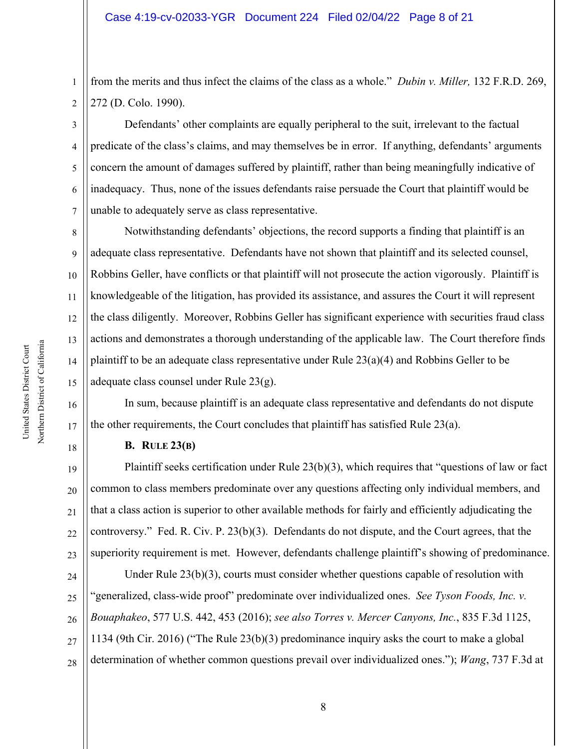1 2 from the merits and thus infect the claims of the class as a whole." *Dubin v. Miller,* 132 F.R.D. 269, 272 (D. Colo. 1990).

3 4 5 6 7 Defendants' other complaints are equally peripheral to the suit, irrelevant to the factual predicate of the class's claims, and may themselves be in error. If anything, defendants' arguments concern the amount of damages suffered by plaintiff, rather than being meaningfully indicative of inadequacy. Thus, none of the issues defendants raise persuade the Court that plaintiff would be unable to adequately serve as class representative.

8 9 10 11 12 13 14 15 Notwithstanding defendants' objections, the record supports a finding that plaintiff is an adequate class representative. Defendants have not shown that plaintiff and its selected counsel, Robbins Geller, have conflicts or that plaintiff will not prosecute the action vigorously. Plaintiff is knowledgeable of the litigation, has provided its assistance, and assures the Court it will represent the class diligently. Moreover, Robbins Geller has significant experience with securities fraud class actions and demonstrates a thorough understanding of the applicable law. The Court therefore finds plaintiff to be an adequate class representative under Rule 23(a)(4) and Robbins Geller to be adequate class counsel under Rule 23(g).

In sum, because plaintiff is an adequate class representative and defendants do not dispute the other requirements, the Court concludes that plaintiff has satisfied Rule  $23(a)$ .

## **B. RULE 23(B)**

19 20 21 22 23 Plaintiff seeks certification under Rule 23(b)(3), which requires that "questions of law or fact common to class members predominate over any questions affecting only individual members, and that a class action is superior to other available methods for fairly and efficiently adjudicating the controversy." Fed. R. Civ. P. 23(b)(3). Defendants do not dispute, and the Court agrees, that the superiority requirement is met. However, defendants challenge plaintiff's showing of predominance.

24 25 26 27 28 Under Rule  $23(b)(3)$ , courts must consider whether questions capable of resolution with "generalized, class-wide proof" predominate over individualized ones. *See Tyson Foods, Inc. v. Bouaphakeo*, 577 U.S. 442, 453 (2016); *see also Torres v. Mercer Canyons, Inc.*, 835 F.3d 1125, 1134 (9th Cir. 2016) ("The Rule 23(b)(3) predominance inquiry asks the court to make a global determination of whether common questions prevail over individualized ones."); *Wang*, 737 F.3d at

16

17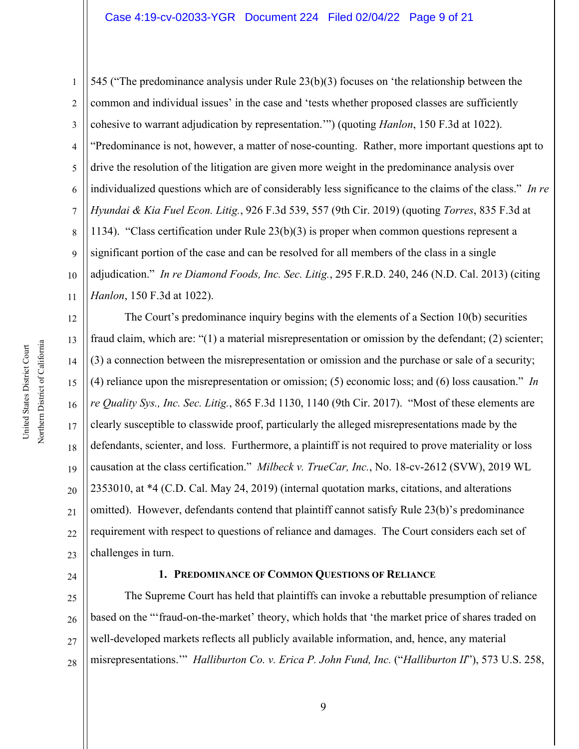1 2 3 4 5 6 7 8 9 10 11 545 ("The predominance analysis under Rule 23(b)(3) focuses on 'the relationship between the common and individual issues' in the case and 'tests whether proposed classes are sufficiently cohesive to warrant adjudication by representation.'") (quoting *Hanlon*, 150 F.3d at 1022). "Predominance is not, however, a matter of nose-counting. Rather, more important questions apt to drive the resolution of the litigation are given more weight in the predominance analysis over individualized questions which are of considerably less significance to the claims of the class." *In re Hyundai & Kia Fuel Econ. Litig.*, 926 F.3d 539, 557 (9th Cir. 2019) (quoting *Torres*, 835 F.3d at 1134). "Class certification under Rule 23(b)(3) is proper when common questions represent a significant portion of the case and can be resolved for all members of the class in a single adjudication." *In re Diamond Foods, Inc. Sec. Litig.*, 295 F.R.D. 240, 246 (N.D. Cal. 2013) (citing *Hanlon*, 150 F.3d at 1022).

12 13 14 15 16 17 18 19 20 21 22 23 The Court's predominance inquiry begins with the elements of a Section 10(b) securities fraud claim, which are: "(1) a material misrepresentation or omission by the defendant; (2) scienter; (3) a connection between the misrepresentation or omission and the purchase or sale of a security; (4) reliance upon the misrepresentation or omission; (5) economic loss; and (6) loss causation." *In re Quality Sys., Inc. Sec. Litig.*, 865 F.3d 1130, 1140 (9th Cir. 2017). "Most of these elements are clearly susceptible to classwide proof, particularly the alleged misrepresentations made by the defendants, scienter, and loss. Furthermore, a plaintiff is not required to prove materiality or loss causation at the class certification." *Milbeck v. TrueCar, Inc.*, No. 18-cv-2612 (SVW), 2019 WL 2353010, at \*4 (C.D. Cal. May 24, 2019) (internal quotation marks, citations, and alterations omitted). However, defendants contend that plaintiff cannot satisfy Rule 23(b)'s predominance requirement with respect to questions of reliance and damages. The Court considers each set of challenges in turn.

#### 24

#### **1. PREDOMINANCE OF COMMON QUESTIONS OF RELIANCE**

25 26 27 28 The Supreme Court has held that plaintiffs can invoke a rebuttable presumption of reliance based on the "'fraud-on-the-market' theory, which holds that 'the market price of shares traded on well-developed markets reflects all publicly available information, and, hence, any material misrepresentations.'" *Halliburton Co. v. Erica P. John Fund, Inc.* ("*Halliburton II*"), 573 U.S. 258,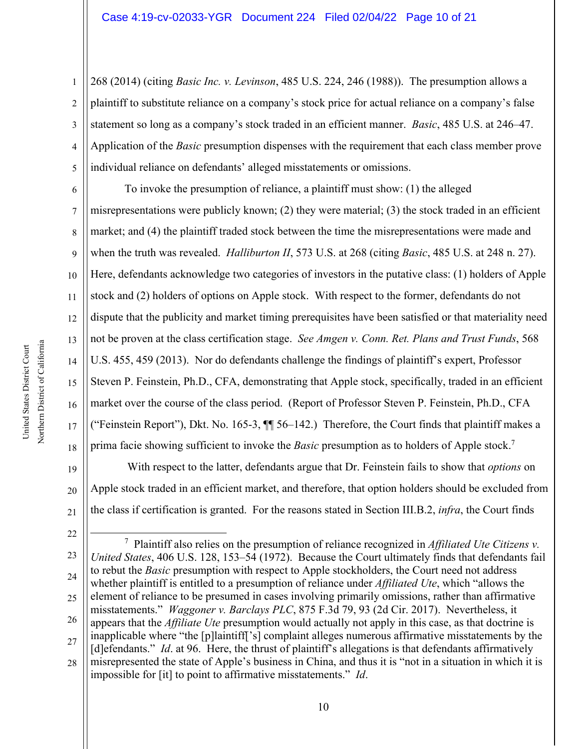1 2 3 4 5 268 (2014) (citing *Basic Inc. v. Levinson*, 485 U.S. 224, 246 (1988)). The presumption allows a plaintiff to substitute reliance on a company's stock price for actual reliance on a company's false statement so long as a company's stock traded in an efficient manner. *Basic*, 485 U.S. at 246–47. Application of the *Basic* presumption dispenses with the requirement that each class member prove individual reliance on defendants' alleged misstatements or omissions.

6 7 8 9 10 11 12 13 14 15 16 17 18 To invoke the presumption of reliance, a plaintiff must show: (1) the alleged misrepresentations were publicly known; (2) they were material; (3) the stock traded in an efficient market; and (4) the plaintiff traded stock between the time the misrepresentations were made and when the truth was revealed. *Halliburton II*, 573 U.S. at 268 (citing *Basic*, 485 U.S. at 248 n. 27). Here, defendants acknowledge two categories of investors in the putative class: (1) holders of Apple stock and (2) holders of options on Apple stock. With respect to the former, defendants do not dispute that the publicity and market timing prerequisites have been satisfied or that materiality need not be proven at the class certification stage. *See Amgen v. Conn. Ret. Plans and Trust Funds*, 568 U.S. 455, 459 (2013). Nor do defendants challenge the findings of plaintiff's expert, Professor Steven P. Feinstein, Ph.D., CFA, demonstrating that Apple stock, specifically, traded in an efficient market over the course of the class period. (Report of Professor Steven P. Feinstein, Ph.D., CFA ("Feinstein Report"), Dkt. No. 165-3, ¶¶ 56–142.) Therefore, the Court finds that plaintiff makes a prima facie showing sufficient to invoke the *Basic* presumption as to holders of Apple stock.7

 With respect to the latter, defendants argue that Dr. Feinstein fails to show that *options* on Apple stock traded in an efficient market, and therefore, that option holders should be excluded from the class if certification is granted. For the reasons stated in Section III.B.2, *infra*, the Court finds

21 22

19

20

<sup>23</sup> 24 25 26 27 28 7 Plaintiff also relies on the presumption of reliance recognized in *Affiliated Ute Citizens v. United States*, 406 U.S. 128, 153–54 (1972). Because the Court ultimately finds that defendants fail to rebut the *Basic* presumption with respect to Apple stockholders, the Court need not address whether plaintiff is entitled to a presumption of reliance under *Affiliated Ute*, which "allows the element of reliance to be presumed in cases involving primarily omissions, rather than affirmative misstatements." *Waggoner v. Barclays PLC*, 875 F.3d 79, 93 (2d Cir. 2017). Nevertheless, it appears that the *Affiliate Ute* presumption would actually not apply in this case, as that doctrine is inapplicable where "the [p]laintiff['s] complaint alleges numerous affirmative misstatements by the [d]efendants." *Id.* at 96. Here, the thrust of plaintiff's allegations is that defendants affirmatively misrepresented the state of Apple's business in China, and thus it is "not in a situation in which it is impossible for [it] to point to affirmative misstatements." *Id*.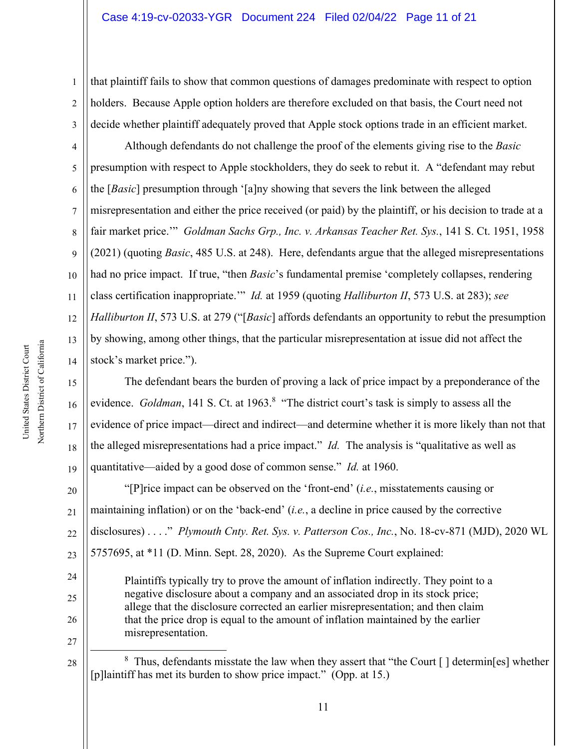2 3 that plaintiff fails to show that common questions of damages predominate with respect to option holders. Because Apple option holders are therefore excluded on that basis, the Court need not decide whether plaintiff adequately proved that Apple stock options trade in an efficient market.

4 5 6 7 8 9 10 11 12 13 14 Although defendants do not challenge the proof of the elements giving rise to the *Basic*  presumption with respect to Apple stockholders, they do seek to rebut it. A "defendant may rebut the [*Basic*] presumption through '[a]ny showing that severs the link between the alleged misrepresentation and either the price received (or paid) by the plaintiff, or his decision to trade at a fair market price.'" *Goldman Sachs Grp., Inc. v. Arkansas Teacher Ret. Sys.*, 141 S. Ct. 1951, 1958 (2021) (quoting *Basic*, 485 U.S. at 248). Here, defendants argue that the alleged misrepresentations had no price impact. If true, "then *Basic*'s fundamental premise 'completely collapses, rendering class certification inappropriate.'" *Id.* at 1959 (quoting *Halliburton II*, 573 U.S. at 283); *see Halliburton II*, 573 U.S. at 279 ("[*Basic*] affords defendants an opportunity to rebut the presumption by showing, among other things, that the particular misrepresentation at issue did not affect the stock's market price.").

The defendant bears the burden of proving a lack of price impact by a preponderance of the evidence. *Goldman*, 141 S. Ct. at 1963.<sup>8</sup> "The district court's task is simply to assess all the evidence of price impact—direct and indirect—and determine whether it is more likely than not that the alleged misrepresentations had a price impact." *Id.* The analysis is "qualitative as well as quantitative—aided by a good dose of common sense." *Id.* at 1960.

20 21 22 23 "[P]rice impact can be observed on the 'front-end' (*i.e.*, misstatements causing or maintaining inflation) or on the 'back-end' (*i.e.*, a decline in price caused by the corrective disclosures) . . . ." *Plymouth Cnty. Ret. Sys. v. Patterson Cos., Inc.*, No. 18-cv-871 (MJD), 2020 WL 5757695, at \*11 (D. Minn. Sept. 28, 2020). As the Supreme Court explained:

Plaintiffs typically try to prove the amount of inflation indirectly. They point to a negative disclosure about a company and an associated drop in its stock price; allege that the disclosure corrected an earlier misrepresentation; and then claim that the price drop is equal to the amount of inflation maintained by the earlier misrepresentation.

27 28

24

25

26

15

16

17

18

19

 $8$  Thus, defendants misstate the law when they assert that "the Court [] determin[es] whether [p]laintiff has met its burden to show price impact." (Opp. at 15.)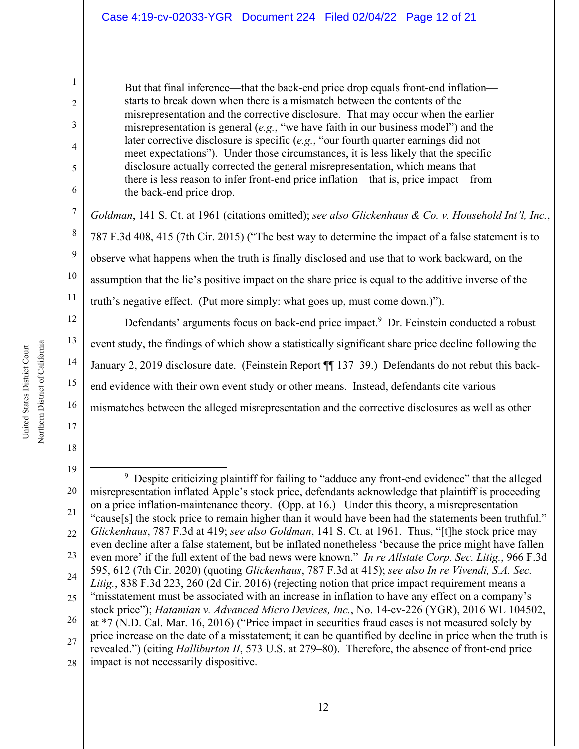But that final inference—that the back-end price drop equals front-end inflation starts to break down when there is a mismatch between the contents of the misrepresentation and the corrective disclosure. That may occur when the earlier misrepresentation is general (*e.g.*, "we have faith in our business model") and the later corrective disclosure is specific (*e.g.*, "our fourth quarter earnings did not meet expectations"). Under those circumstances, it is less likely that the specific disclosure actually corrected the general misrepresentation, which means that there is less reason to infer front-end price inflation—that is, price impact—from the back-end price drop.

*Goldman*, 141 S. Ct. at 1961 (citations omitted); *see also Glickenhaus & Co. v. Household Int'l, Inc.*, 787 F.3d 408, 415 (7th Cir. 2015) ("The best way to determine the impact of a false statement is to observe what happens when the truth is finally disclosed and use that to work backward, on the assumption that the lie's positive impact on the share price is equal to the additive inverse of the truth's negative effect. (Put more simply: what goes up, must come down.)").

Defendants' arguments focus on back-end price impact.<sup>9</sup> Dr. Feinstein conducted a robust event study, the findings of which show a statistically significant share price decline following the January 2, 2019 disclosure date. (Feinstein Report ¶¶ 137–39.) Defendants do not rebut this backend evidence with their own event study or other means. Instead, defendants cite various mismatches between the alleged misrepresentation and the corrective disclosures as well as other

1

2

3

4

5

6

7

8

9

10

11

12

13

14

15

16

17

18

<sup>19</sup> 20 21 22 23 24 25 26 27 28 <sup>9</sup> Despite criticizing plaintiff for failing to "adduce any front-end evidence" that the alleged misrepresentation inflated Apple's stock price, defendants acknowledge that plaintiff is proceeding on a price inflation-maintenance theory. (Opp. at 16.) Under this theory, a misrepresentation "cause[s] the stock price to remain higher than it would have been had the statements been truthful." *Glickenhaus*, 787 F.3d at 419; *see also Goldman*, 141 S. Ct. at 1961. Thus, "[t]he stock price may even decline after a false statement, but be inflated nonetheless 'because the price might have fallen even more' if the full extent of the bad news were known." *In re Allstate Corp. Sec. Litig.*, 966 F.3d 595, 612 (7th Cir. 2020) (quoting *Glickenhaus*, 787 F.3d at 415); *see also In re Vivendi, S.A. Sec. Litig.*, 838 F.3d 223, 260 (2d Cir. 2016) (rejecting notion that price impact requirement means a "misstatement must be associated with an increase in inflation to have any effect on a company's stock price"); *Hatamian v. Advanced Micro Devices, Inc.*, No. 14-cv-226 (YGR), 2016 WL 104502, at \*7 (N.D. Cal. Mar. 16, 2016) ("Price impact in securities fraud cases is not measured solely by price increase on the date of a misstatement; it can be quantified by decline in price when the truth is revealed.") (citing *Halliburton II*, 573 U.S. at 279–80). Therefore, the absence of front-end price impact is not necessarily dispositive.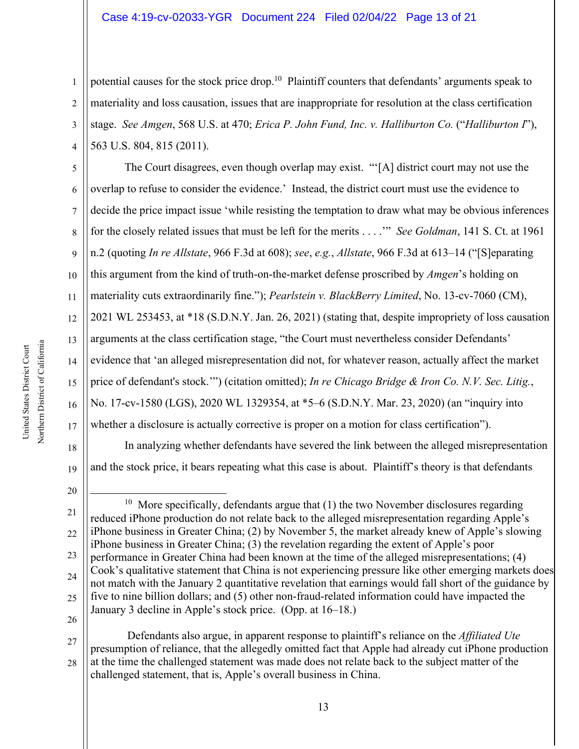1 2 3 4 potential causes for the stock price drop.<sup>10</sup> Plaintiff counters that defendants' arguments speak to materiality and loss causation, issues that are inappropriate for resolution at the class certification stage. *See Amgen*, 568 U.S. at 470; *Erica P. John Fund, Inc. v. Halliburton Co.* ("*Halliburton I*"), 563 U.S. 804, 815 (2011).

5 6 7 8 9 10 11 12 13 14 15 16 17 18 The Court disagrees, even though overlap may exist. "'[A] district court may not use the overlap to refuse to consider the evidence.' Instead, the district court must use the evidence to decide the price impact issue 'while resisting the temptation to draw what may be obvious inferences for the closely related issues that must be left for the merits . . . .'" *See Goldman*, 141 S. Ct. at 1961 n.2 (quoting *In re Allstate*, 966 F.3d at 608); *see*, *e.g.*, *Allstate*, 966 F.3d at 613–14 ("[S]eparating this argument from the kind of truth-on-the-market defense proscribed by *Amgen*'s holding on materiality cuts extraordinarily fine."); *Pearlstein v. BlackBerry Limited*, No. 13-cv-7060 (CM), 2021 WL 253453, at \*18 (S.D.N.Y. Jan. 26, 2021) (stating that, despite impropriety of loss causation arguments at the class certification stage, "the Court must nevertheless consider Defendants' evidence that 'an alleged misrepresentation did not, for whatever reason, actually affect the market price of defendant's stock.'") (citation omitted); *In re Chicago Bridge & Iron Co. N.V. Sec. Litig.*, No. 17-cv-1580 (LGS), 2020 WL 1329354, at \*5–6 (S.D.N.Y. Mar. 23, 2020) (an "inquiry into whether a disclosure is actually corrective is proper on a motion for class certification"). In analyzing whether defendants have severed the link between the alleged misrepresentation

19 20 and the stock price, it bears repeating what this case is about. Plaintiff's theory is that defendants

26

27 28 Defendants also argue, in apparent response to plaintiff's reliance on the *Affiliated Ute* presumption of reliance, that the allegedly omitted fact that Apple had already cut iPhone production at the time the challenged statement was made does not relate back to the subject matter of the challenged statement, that is, Apple's overall business in China.

Northern District of California Northern District of California United States District Court United States District Court

<sup>21</sup> 22 23 24 25 <sup>10</sup> More specifically, defendants argue that  $(1)$  the two November disclosures regarding reduced iPhone production do not relate back to the alleged misrepresentation regarding Apple's iPhone business in Greater China; (2) by November 5, the market already knew of Apple's slowing iPhone business in Greater China; (3) the revelation regarding the extent of Apple's poor performance in Greater China had been known at the time of the alleged misrepresentations; (4) Cook's qualitative statement that China is not experiencing pressure like other emerging markets does not match with the January 2 quantitative revelation that earnings would fall short of the guidance by five to nine billion dollars; and (5) other non-fraud-related information could have impacted the January 3 decline in Apple's stock price. (Opp. at 16–18.)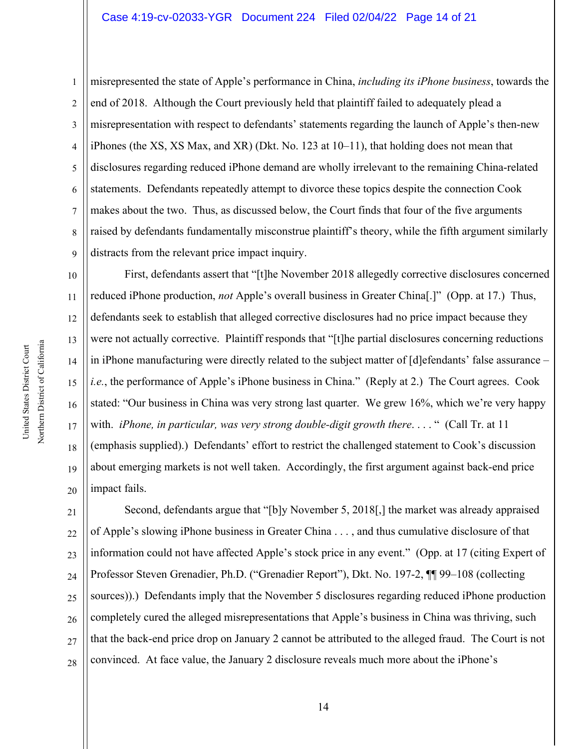1 2 3 4 5 6 7 8 9 misrepresented the state of Apple's performance in China, *including its iPhone business*, towards the end of 2018. Although the Court previously held that plaintiff failed to adequately plead a misrepresentation with respect to defendants' statements regarding the launch of Apple's then-new iPhones (the XS, XS Max, and XR) (Dkt. No. 123 at 10–11), that holding does not mean that disclosures regarding reduced iPhone demand are wholly irrelevant to the remaining China-related statements. Defendants repeatedly attempt to divorce these topics despite the connection Cook makes about the two. Thus, as discussed below, the Court finds that four of the five arguments raised by defendants fundamentally misconstrue plaintiff's theory, while the fifth argument similarly distracts from the relevant price impact inquiry.

10 11 12 13 14 15 16 17 18 19 20 First, defendants assert that "[t]he November 2018 allegedly corrective disclosures concerned reduced iPhone production, *not* Apple's overall business in Greater China[.]" (Opp. at 17.) Thus, defendants seek to establish that alleged corrective disclosures had no price impact because they were not actually corrective. Plaintiff responds that "[t]he partial disclosures concerning reductions in iPhone manufacturing were directly related to the subject matter of [d]efendants' false assurance – *i.e.*, the performance of Apple's iPhone business in China." (Reply at 2.) The Court agrees. Cook stated: "Our business in China was very strong last quarter. We grew 16%, which we're very happy with. *iPhone, in particular, was very strong double-digit growth there....* " (Call Tr. at 11 (emphasis supplied).) Defendants' effort to restrict the challenged statement to Cook's discussion about emerging markets is not well taken. Accordingly, the first argument against back-end price impact fails.

21 22 23 24 25 26 27 28 Second, defendants argue that "[b]y November 5, 2018[,] the market was already appraised of Apple's slowing iPhone business in Greater China . . . , and thus cumulative disclosure of that information could not have affected Apple's stock price in any event." (Opp. at 17 (citing Expert of Professor Steven Grenadier, Ph.D. ("Grenadier Report"), Dkt. No. 197-2, ¶¶ 99–108 (collecting sources)).) Defendants imply that the November 5 disclosures regarding reduced iPhone production completely cured the alleged misrepresentations that Apple's business in China was thriving, such that the back-end price drop on January 2 cannot be attributed to the alleged fraud. The Court is not convinced. At face value, the January 2 disclosure reveals much more about the iPhone's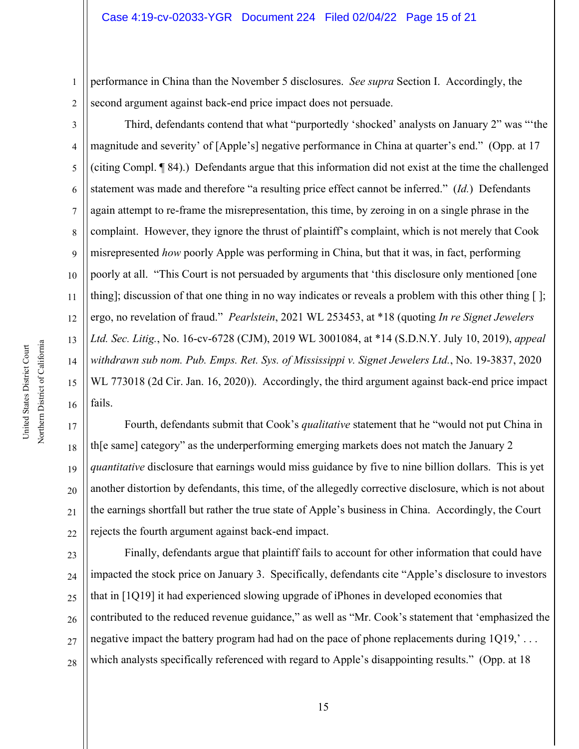performance in China than the November 5 disclosures. *See supra* Section I. Accordingly, the second argument against back-end price impact does not persuade.

2

1

3 4 5 6 7 8 9 10 11 12 13 14 15 16 Third, defendants contend that what "purportedly 'shocked' analysts on January 2" was "'the magnitude and severity' of [Apple's] negative performance in China at quarter's end." (Opp. at 17 (citing Compl. ¶ 84).) Defendants argue that this information did not exist at the time the challenged statement was made and therefore "a resulting price effect cannot be inferred." (*Id.*) Defendants again attempt to re-frame the misrepresentation, this time, by zeroing in on a single phrase in the complaint. However, they ignore the thrust of plaintiff's complaint, which is not merely that Cook misrepresented *how* poorly Apple was performing in China, but that it was, in fact, performing poorly at all. "This Court is not persuaded by arguments that 'this disclosure only mentioned [one thing]; discussion of that one thing in no way indicates or reveals a problem with this other thing [ ]; ergo, no revelation of fraud." *Pearlstein*, 2021 WL 253453, at \*18 (quoting *In re Signet Jewelers Ltd. Sec. Litig.*, No. 16-cv-6728 (CJM), 2019 WL 3001084, at \*14 (S.D.N.Y. July 10, 2019), *appeal withdrawn sub nom. Pub. Emps. Ret. Sys. of Mississippi v. Signet Jewelers Ltd.*, No. 19-3837, 2020 WL 773018 (2d Cir. Jan. 16, 2020)). Accordingly, the third argument against back-end price impact fails.

17 18 19 20 22 Fourth, defendants submit that Cook's *qualitative* statement that he "would not put China in th[e same] category" as the underperforming emerging markets does not match the January 2 *quantitative* disclosure that earnings would miss guidance by five to nine billion dollars. This is yet another distortion by defendants, this time, of the allegedly corrective disclosure, which is not about the earnings shortfall but rather the true state of Apple's business in China. Accordingly, the Court rejects the fourth argument against back-end impact.

23 24 25 26 27 28 Finally, defendants argue that plaintiff fails to account for other information that could have impacted the stock price on January 3. Specifically, defendants cite "Apple's disclosure to investors that in [1Q19] it had experienced slowing upgrade of iPhones in developed economies that contributed to the reduced revenue guidance," as well as "Mr. Cook's statement that 'emphasized the negative impact the battery program had had on the pace of phone replacements during  $1Q19$ ,  $\ldots$ which analysts specifically referenced with regard to Apple's disappointing results." (Opp. at 18)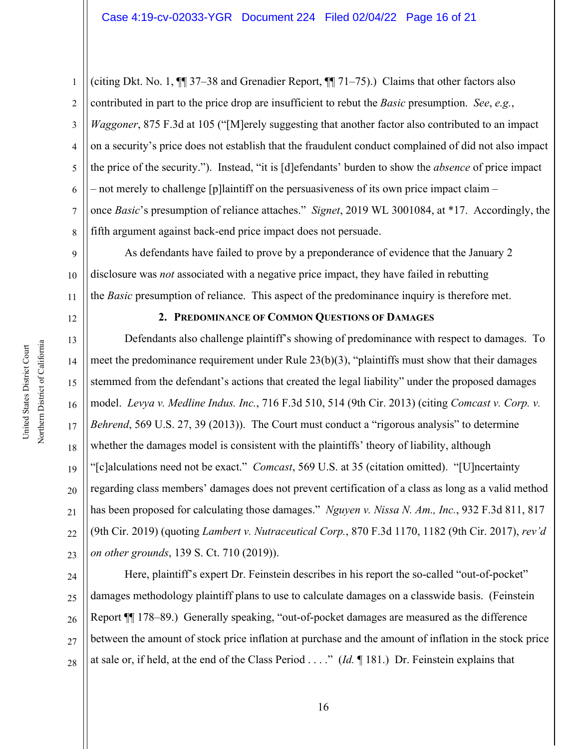1 2 3 4 5 6 7 8 (citing Dkt. No. 1, ¶¶ 37–38 and Grenadier Report, ¶¶ 71–75).) Claims that other factors also contributed in part to the price drop are insufficient to rebut the *Basic* presumption. *See*, *e.g.*, *Waggoner*, 875 F.3d at 105 ("[M]erely suggesting that another factor also contributed to an impact on a security's price does not establish that the fraudulent conduct complained of did not also impact the price of the security."). Instead, "it is [d]efendants' burden to show the *absence* of price impact – not merely to challenge [p]laintiff on the persuasiveness of its own price impact claim – once *Basic*'s presumption of reliance attaches." *Signet*, 2019 WL 3001084, at \*17. Accordingly, the fifth argument against back-end price impact does not persuade.

9 10 11 As defendants have failed to prove by a preponderance of evidence that the January 2 disclosure was *not* associated with a negative price impact, they have failed in rebutting the *Basic* presumption of reliance. This aspect of the predominance inquiry is therefore met.

12

14

17

21

### **2. PREDOMINANCE OF COMMON QUESTIONS OF DAMAGES**

13 15 16 18 19 20 22 23 Defendants also challenge plaintiff's showing of predominance with respect to damages. To meet the predominance requirement under Rule  $23(b)(3)$ , "plaintiffs must show that their damages stemmed from the defendant's actions that created the legal liability" under the proposed damages model. *Levya v. Medline Indus. Inc.*, 716 F.3d 510, 514 (9th Cir. 2013) (citing *Comcast v. Corp. v. Behrend*, 569 U.S. 27, 39 (2013)). The Court must conduct a "rigorous analysis" to determine whether the damages model is consistent with the plaintiffs' theory of liability, although "[c]alculations need not be exact." *Comcast*, 569 U.S. at 35 (citation omitted). "[U]ncertainty regarding class members' damages does not prevent certification of a class as long as a valid method has been proposed for calculating those damages." *Nguyen v. Nissa N. Am., Inc.*, 932 F.3d 811, 817 (9th Cir. 2019) (quoting *Lambert v. Nutraceutical Corp.*, 870 F.3d 1170, 1182 (9th Cir. 2017), *rev'd on other grounds*, 139 S. Ct. 710 (2019)).

24 25 26 27 28 Here, plaintiff's expert Dr. Feinstein describes in his report the so-called "out-of-pocket" damages methodology plaintiff plans to use to calculate damages on a classwide basis. (Feinstein Report ¶¶ 178–89.) Generally speaking, "out-of-pocket damages are measured as the difference between the amount of stock price inflation at purchase and the amount of inflation in the stock price at sale or, if held, at the end of the Class Period . . . ." (*Id.* ¶ 181.) Dr. Feinstein explains that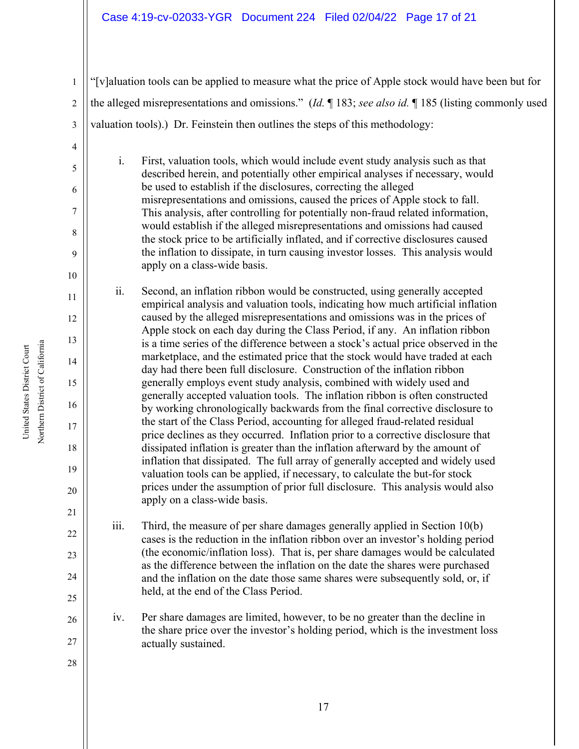#### Case 4:19-cv-02033-YGR Document 224 Filed 02/04/22 Page 17 of 21

"[v]aluation tools can be applied to measure what the price of Apple stock would have been but for the alleged misrepresentations and omissions." (*Id.* ¶ 183; *see also id.* ¶ 185 (listing commonly used valuation tools).) Dr. Feinstein then outlines the steps of this methodology:

i. First, valuation tools, which would include event study analysis such as that described herein, and potentially other empirical analyses if necessary, would be used to establish if the disclosures, correcting the alleged misrepresentations and omissions, caused the prices of Apple stock to fall. This analysis, after controlling for potentially non-fraud related information, would establish if the alleged misrepresentations and omissions had caused the stock price to be artificially inflated, and if corrective disclosures caused the inflation to dissipate, in turn causing investor losses. This analysis would apply on a class-wide basis.

ii. Second, an inflation ribbon would be constructed, using generally accepted empirical analysis and valuation tools, indicating how much artificial inflation caused by the alleged misrepresentations and omissions was in the prices of Apple stock on each day during the Class Period, if any. An inflation ribbon is a time series of the difference between a stock's actual price observed in the marketplace, and the estimated price that the stock would have traded at each day had there been full disclosure. Construction of the inflation ribbon generally employs event study analysis, combined with widely used and generally accepted valuation tools. The inflation ribbon is often constructed by working chronologically backwards from the final corrective disclosure to the start of the Class Period, accounting for alleged fraud-related residual price declines as they occurred. Inflation prior to a corrective disclosure that dissipated inflation is greater than the inflation afterward by the amount of inflation that dissipated. The full array of generally accepted and widely used valuation tools can be applied, if necessary, to calculate the but-for stock prices under the assumption of prior full disclosure. This analysis would also apply on a class-wide basis.

iii. Third, the measure of per share damages generally applied in Section 10(b) cases is the reduction in the inflation ribbon over an investor's holding period (the economic/inflation loss). That is, per share damages would be calculated as the difference between the inflation on the date the shares were purchased and the inflation on the date those same shares were subsequently sold, or, if held, at the end of the Class Period.

iv. Per share damages are limited, however, to be no greater than the decline in the share price over the investor's holding period, which is the investment loss actually sustained.

28

Northern District of California Northern District of California United States District Court United States District Court

1

2

3

4

5

6

7

8

9

10

11

12

13

14

15

16

17

18

19

20

21

22

23

24

25

26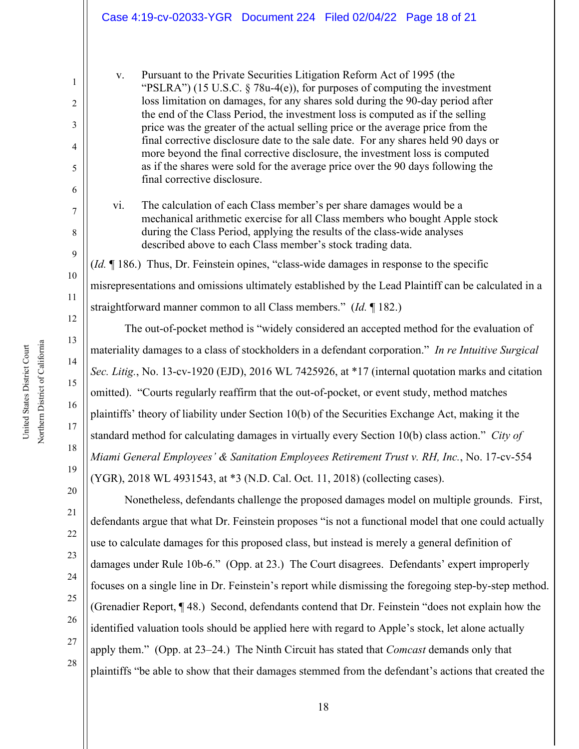|                            | Case 4:19-cv-02033-YGR  Document 224  Filed 02/04/22  Page 18 of 21                                                                                                                                                                                                                                                                                                                                                                                                                                                                                                                                                                                                                                        |
|----------------------------|------------------------------------------------------------------------------------------------------------------------------------------------------------------------------------------------------------------------------------------------------------------------------------------------------------------------------------------------------------------------------------------------------------------------------------------------------------------------------------------------------------------------------------------------------------------------------------------------------------------------------------------------------------------------------------------------------------|
| 1<br>2<br>3<br>4<br>5<br>6 | Pursuant to the Private Securities Litigation Reform Act of 1995 (the<br>V.<br>"PSLRA") (15 U.S.C. $\S$ 78u-4(e)), for purposes of computing the investment<br>loss limitation on damages, for any shares sold during the 90-day period after<br>the end of the Class Period, the investment loss is computed as if the selling<br>price was the greater of the actual selling price or the average price from the<br>final corrective disclosure date to the sale date. For any shares held 90 days or<br>more beyond the final corrective disclosure, the investment loss is computed<br>as if the shares were sold for the average price over the 90 days following the<br>final corrective disclosure. |
| 7<br>8<br>9                | The calculation of each Class member's per share damages would be a<br>vi.<br>mechanical arithmetic exercise for all Class members who bought Apple stock<br>during the Class Period, applying the results of the class-wide analyses<br>described above to each Class member's stock trading data.                                                                                                                                                                                                                                                                                                                                                                                                        |
|                            | (Id. ¶ 186.) Thus, Dr. Feinstein opines, "class-wide damages in response to the specific                                                                                                                                                                                                                                                                                                                                                                                                                                                                                                                                                                                                                   |
| 10                         | misrepresentations and omissions ultimately established by the Lead Plaintiff can be calculated in a                                                                                                                                                                                                                                                                                                                                                                                                                                                                                                                                                                                                       |
| 11                         | straightforward manner common to all Class members." ( <i>Id.</i> $\P$ 182.)                                                                                                                                                                                                                                                                                                                                                                                                                                                                                                                                                                                                                               |
| 12                         | The out-of-pocket method is "widely considered an accepted method for the evaluation of                                                                                                                                                                                                                                                                                                                                                                                                                                                                                                                                                                                                                    |
| 13                         | materiality damages to a class of stockholders in a defendant corporation." In re Intuitive Surgical                                                                                                                                                                                                                                                                                                                                                                                                                                                                                                                                                                                                       |
| 14                         | Sec. Litig., No. 13-cv-1920 (EJD), 2016 WL 7425926, at *17 (internal quotation marks and citation                                                                                                                                                                                                                                                                                                                                                                                                                                                                                                                                                                                                          |
| 15                         | omitted). "Courts regularly reaffirm that the out-of-pocket, or event study, method matches                                                                                                                                                                                                                                                                                                                                                                                                                                                                                                                                                                                                                |
| 16                         | plaintiffs' theory of liability under Section 10(b) of the Securities Exchange Act, making it the                                                                                                                                                                                                                                                                                                                                                                                                                                                                                                                                                                                                          |
| 17                         | standard method for calculating damages in virtually every Section 10(b) class action." City of                                                                                                                                                                                                                                                                                                                                                                                                                                                                                                                                                                                                            |
| 18                         | Miami General Employees' & Sanitation Employees Retirement Trust v. RH, Inc., No. 17-cv-554                                                                                                                                                                                                                                                                                                                                                                                                                                                                                                                                                                                                                |
| 19                         | (YGR), 2018 WL 4931543, at *3 (N.D. Cal. Oct. 11, 2018) (collecting cases).                                                                                                                                                                                                                                                                                                                                                                                                                                                                                                                                                                                                                                |
| 20                         | Nonetheless, defendants challenge the proposed damages model on multiple grounds. First,                                                                                                                                                                                                                                                                                                                                                                                                                                                                                                                                                                                                                   |
| 21                         | defendants argue that what Dr. Feinstein proposes "is not a functional model that one could actually                                                                                                                                                                                                                                                                                                                                                                                                                                                                                                                                                                                                       |
| 22                         | use to calculate damages for this proposed class, but instead is merely a general definition of                                                                                                                                                                                                                                                                                                                                                                                                                                                                                                                                                                                                            |
| 23                         | damages under Rule 10b-6." (Opp. at 23.) The Court disagrees. Defendants' expert improperly                                                                                                                                                                                                                                                                                                                                                                                                                                                                                                                                                                                                                |
| 24                         | focuses on a single line in Dr. Feinstein's report while dismissing the foregoing step-by-step method.                                                                                                                                                                                                                                                                                                                                                                                                                                                                                                                                                                                                     |
| 25                         | (Grenadier Report, ¶48.) Second, defendants contend that Dr. Feinstein "does not explain how the                                                                                                                                                                                                                                                                                                                                                                                                                                                                                                                                                                                                           |
| 26                         | identified valuation tools should be applied here with regard to Apple's stock, let alone actually                                                                                                                                                                                                                                                                                                                                                                                                                                                                                                                                                                                                         |
| 27                         | apply them." (Opp. at 23-24.) The Ninth Circuit has stated that Comcast demands only that                                                                                                                                                                                                                                                                                                                                                                                                                                                                                                                                                                                                                  |
| 28                         | plaintiffs "be able to show that their damages stemmed from the defendant's actions that created the                                                                                                                                                                                                                                                                                                                                                                                                                                                                                                                                                                                                       |

Northern District of California Northern District of California United States District Court United States District Court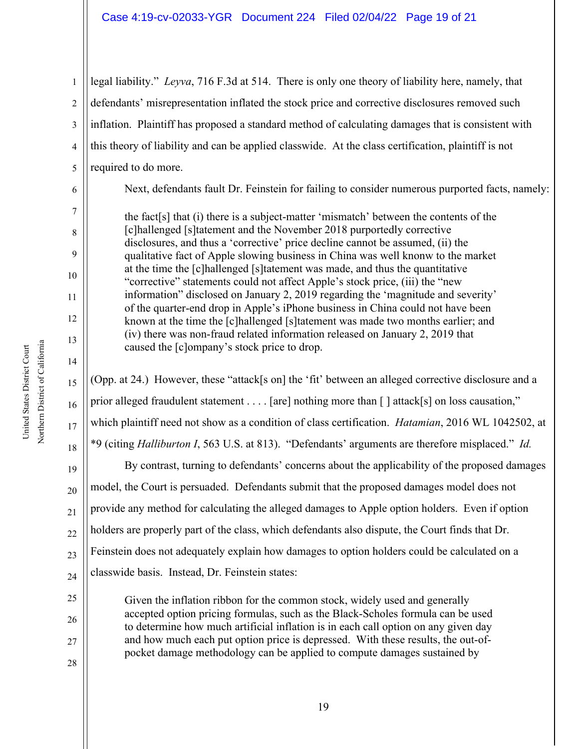#### Case 4:19-cv-02033-YGR Document 224 Filed 02/04/22 Page 19 of 21

1 2 3 4 5 legal liability." *Leyva*, 716 F.3d at 514. There is only one theory of liability here, namely, that defendants' misrepresentation inflated the stock price and corrective disclosures removed such inflation. Plaintiff has proposed a standard method of calculating damages that is consistent with this theory of liability and can be applied classwide. At the class certification, plaintiff is not required to do more.

Next, defendants fault Dr. Feinstein for failing to consider numerous purported facts, namely:

the fact[s] that (i) there is a subject-matter 'mismatch' between the contents of the [c]hallenged [s]tatement and the November 2018 purportedly corrective disclosures, and thus a 'corrective' price decline cannot be assumed, (ii) the qualitative fact of Apple slowing business in China was well knonw to the market at the time the [c]hallenged [s]tatement was made, and thus the quantitative "corrective" statements could not affect Apple's stock price, (iii) the "new information" disclosed on January 2, 2019 regarding the 'magnitude and severity' of the quarter-end drop in Apple's iPhone business in China could not have been known at the time the [c]hallenged [s]tatement was made two months earlier; and (iv) there was non-fraud related information released on January 2, 2019 that caused the [c]ompany's stock price to drop.

(Opp. at 24.) However, these "attack[s on] the 'fit' between an alleged corrective disclosure and a prior alleged fraudulent statement . . . . [are] nothing more than [] attack[s] on loss causation," which plaintiff need not show as a condition of class certification. *Hatamian*, 2016 WL 1042502, at \*9 (citing *Halliburton I*, 563 U.S. at 813). "Defendants' arguments are therefore misplaced." *Id.*

By contrast, turning to defendants' concerns about the applicability of the proposed damages model, the Court is persuaded. Defendants submit that the proposed damages model does not provide any method for calculating the alleged damages to Apple option holders. Even if option holders are properly part of the class, which defendants also dispute, the Court finds that Dr. Feinstein does not adequately explain how damages to option holders could be calculated on a classwide basis. Instead, Dr. Feinstein states:

Given the inflation ribbon for the common stock, widely used and generally accepted option pricing formulas, such as the Black-Scholes formula can be used to determine how much artificial inflation is in each call option on any given day and how much each put option price is depressed. With these results, the out-ofpocket damage methodology can be applied to compute damages sustained by

6

7

8

9

10

11

12

13

14

15

16

17

18

19

20

21

22

23

24

25

26

27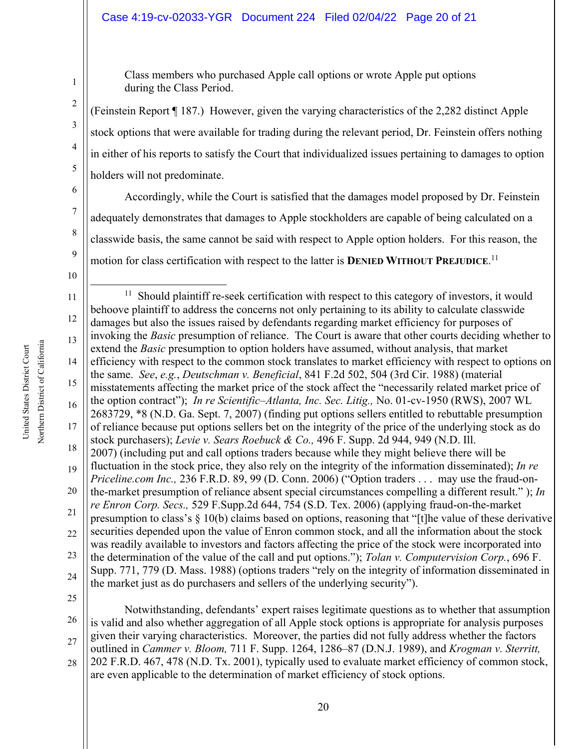#### Case 4:19-cv-02033-YGR Document 224 Filed 02/04/22 Page 20 of 21

Class members who purchased Apple call options or wrote Apple put options during the Class Period.

(Feinstein Report ¶ 187.) However, given the varying characteristics of the 2,282 distinct Apple stock options that were available for trading during the relevant period, Dr. Feinstein offers nothing in either of his reports to satisfy the Court that individualized issues pertaining to damages to option holders will not predominate.

Accordingly, while the Court is satisfied that the damages model proposed by Dr. Feinstein adequately demonstrates that damages to Apple stockholders are capable of being calculated on a classwide basis, the same cannot be said with respect to Apple option holders. For this reason, the motion for class certification with respect to the latter is **DENIED WITHOUT PREJUDICE**.<sup>11</sup>

10

1

2

3

4

5

6

7

8

9

11 12 13 14 15 16 17 18 19 20 21 22 23 24  $11$  Should plaintiff re-seek certification with respect to this category of investors, it would behoove plaintiff to address the concerns not only pertaining to its ability to calculate classwide damages but also the issues raised by defendants regarding market efficiency for purposes of invoking the *Basic* presumption of reliance. The Court is aware that other courts deciding whether to extend the *Basic* presumption to option holders have assumed, without analysis, that market efficiency with respect to the common stock translates to market efficiency with respect to options on the same. *See*, *e.g.*, *Deutschman v. Beneficial*, 841 F.2d 502, 504 (3rd Cir. 1988) (material misstatements affecting the market price of the stock affect the "necessarily related market price of the option contract"); *In re Scientific–Atlanta, Inc. Sec. Litig.,* No. 01-cv-1950 (RWS), 2007 WL 2683729, \*8 (N.D. Ga. Sept. 7, 2007) (finding put options sellers entitled to rebuttable presumption of reliance because put options sellers bet on the integrity of the price of the underlying stock as do stock purchasers); *Levie v. Sears Roebuck & Co.,* 496 F. Supp. 2d 944, 949 (N.D. Ill. 2007) (including put and call options traders because while they might believe there will be fluctuation in the stock price, they also rely on the integrity of the information disseminated); *In re Priceline.com Inc.,* 236 F.R.D. 89, 99 (D. Conn. 2006) ("Option traders . . . may use the fraud-onthe-market presumption of reliance absent special circumstances compelling a different result." ); *In re Enron Corp. Secs.,* 529 F.Supp.2d 644, 754 (S.D. Tex. 2006) (applying fraud-on-the-market presumption to class's § 10(b) claims based on options, reasoning that "[t]he value of these derivative securities depended upon the value of Enron common stock, and all the information about the stock was readily available to investors and factors affecting the price of the stock were incorporated into the determination of the value of the call and put options."); *Tolan v. Computervision Corp.*, 696 F. Supp. 771, 779 (D. Mass. 1988) (options traders "rely on the integrity of information disseminated in the market just as do purchasers and sellers of the underlying security").

25

26 27 28 Notwithstanding, defendants' expert raises legitimate questions as to whether that assumption is valid and also whether aggregation of all Apple stock options is appropriate for analysis purposes given their varying characteristics. Moreover, the parties did not fully address whether the factors outlined in *Cammer v. Bloom,* 711 F. Supp. 1264, 1286–87 (D.N.J. 1989), and *Krogman v. Sterritt,*  202 F.R.D. 467, 478 (N.D. Tx. 2001), typically used to evaluate market efficiency of common stock, are even applicable to the determination of market efficiency of stock options.

Northern District of California Northern District of California United States District Court United States District Court